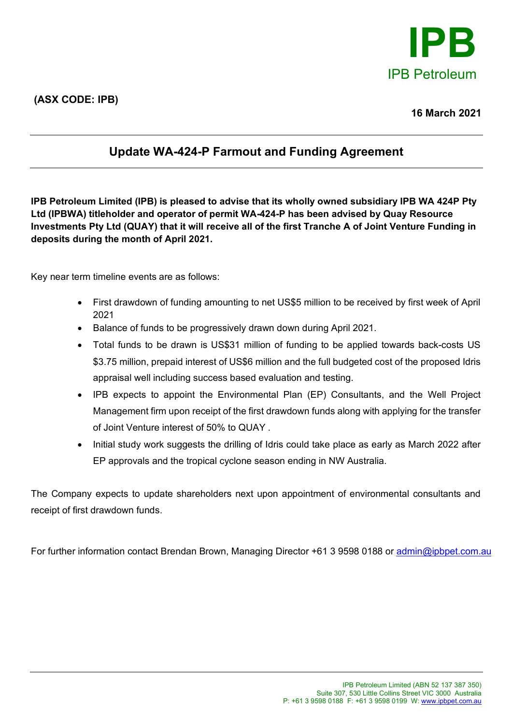

## **Update WA-424-P Farmout and Funding Agreement**

**IPB Petroleum Limited (IPB) is pleased to advise that its wholly owned subsidiary IPB WA 424P Pty Ltd (IPBWA) titleholder and operator of permit WA-424-P has been advised by Quay Resource Investments Pty Ltd (QUAY) that it will receive all of the first Tranche A of Joint Venture Funding in deposits during the month of April 2021.** 

Key near term timeline events are as follows:

- First drawdown of funding amounting to net US\$5 million to be received by first week of April 2021
- Balance of funds to be progressively drawn down during April 2021.
- Total funds to be drawn is US\$31 million of funding to be applied towards back-costs US \$3.75 million, prepaid interest of US\$6 million and the full budgeted cost of the proposed Idris appraisal well including success based evaluation and testing.
- IPB expects to appoint the Environmental Plan (EP) Consultants, and the Well Project Management firm upon receipt of the first drawdown funds along with applying for the transfer of Joint Venture interest of 50% to QUAY .
- Initial study work suggests the drilling of Idris could take place as early as March 2022 after EP approvals and the tropical cyclone season ending in NW Australia.

The Company expects to update shareholders next upon appointment of environmental consultants and receipt of first drawdown funds.

For further information contact Brendan Brown, Managing Director +61 3 9598 0188 or [admin@ipbpet.com.au](mailto:admin@ipbpet.com.au)